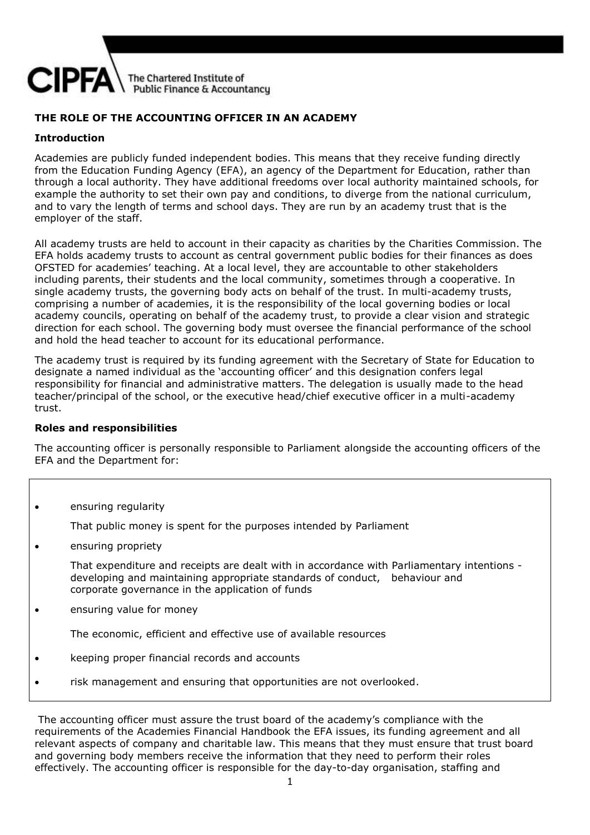

# **THE ROLE OF THE ACCOUNTING OFFICER IN AN ACADEMY**

## **Introduction**

Academies are publicly funded independent bodies. This means that they receive funding directly from the Education Funding Agency (EFA), an agency of the Department for Education, rather than through a local authority. They have additional freedoms over local authority maintained schools, for example the authority to set their own pay and conditions, to diverge from the national curriculum, and to vary the length of terms and school days. They are run by an academy trust that is the employer of the staff.

All academy trusts are held to account in their capacity as charities by the Charities Commission. The EFA holds academy trusts to account as central government public bodies for their finances as does OFSTED for academies' teaching. At a local level, they are accountable to other stakeholders including parents, their students and the local community, sometimes through a cooperative. In single academy trusts, the governing body acts on behalf of the trust. In multi-academy trusts, comprising a number of academies, it is the responsibility of the local governing bodies or local academy councils, operating on behalf of the academy trust, to provide a clear vision and strategic direction for each school. The governing body must oversee the financial performance of the school and hold the head teacher to account for its educational performance.

The academy trust is required by its funding agreement with the Secretary of State for Education to designate a named individual as the 'accounting officer' and this designation confers legal responsibility for financial and administrative matters. The delegation is usually made to the head teacher/principal of the school, or the executive head/chief executive officer in a multi-academy trust.

#### **Roles and responsibilities**

The accounting officer is personally responsible to Parliament alongside the accounting officers of the EFA and the Department for:

ensuring regularity

That public money is spent for the purposes intended by Parliament

**e** ensuring propriety

That expenditure and receipts are dealt with in accordance with Parliamentary intentions developing and maintaining appropriate standards of conduct, behaviour and corporate governance in the application of funds

ensuring value for money

The economic, efficient and effective use of available resources

- **EXECT:** keeping proper financial records and accounts
- risk management and ensuring that opportunities are not overlooked.

The accounting officer must assure the trust board of the academy's compliance with the requirements of the Academies Financial Handbook the EFA issues, its funding agreement and all relevant aspects of company and charitable law. This means that they must ensure that trust board and governing body members receive the information that they need to perform their roles effectively. The accounting officer is responsible for the day-to-day organisation, staffing and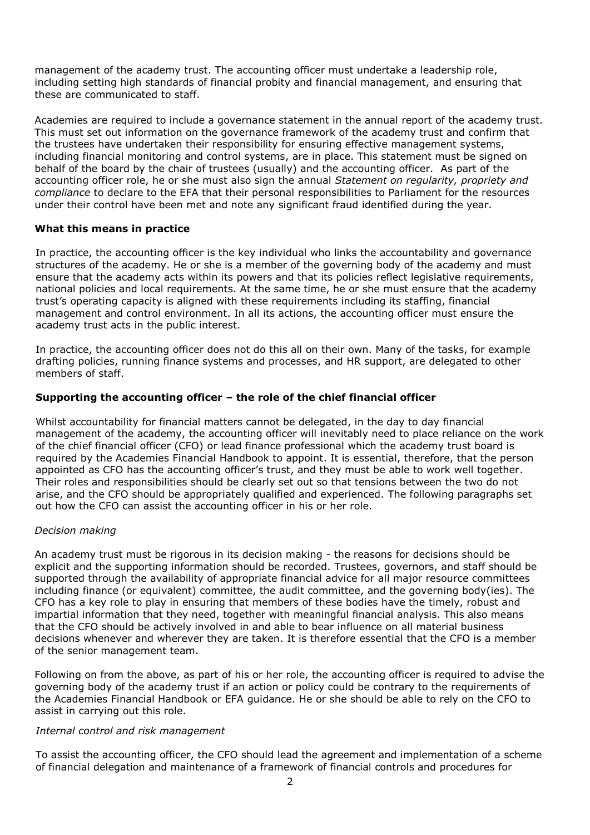management of the academy trust. The accounting officer must undertake a leadership role, including setting high standards of financial probity and financial management, and ensuring that these are communicated to staff.

Academies are required to include a governance statement in the annual report of the academy trust. This must set out information on the governance framework of the academy trust and confirm that the trustees have undertaken their responsibility for ensuring effective management systems, including financial monitoring and control systems, are in place. This statement must be signed on behalf of the board by the chair of trustees (usually) and the accounting officer. As part of the accounting officer role, he or she must also sign the annual *Statement on regularity, propriety and compliance* to declare to the EFA that their personal responsibilities to Parliament for the resources under their control have been met and note any significant fraud identified during the year.

## **What this means in practice**

In practice, the accounting officer is the key individual who links the accountability and governance structures of the academy. He or she is a member of the governing body of the academy and must ensure that the academy acts within its powers and that its policies reflect legislative requirements, national policies and local requirements. At the same time, he or she must ensure that the academy trust's operating capacity is aligned with these requirements including its staffing, financial management and control environment. In all its actions, the accounting officer must ensure the academy trust acts in the public interest.

In practice, the accounting officer does not do this all on their own. Many of the tasks, for example drafting policies, running finance systems and processes, and HR support, are delegated to other members of staff.

## **Supporting the accounting officer – the role of the chief financial officer**

Whilst accountability for financial matters cannot be delegated, in the day to day financial management of the academy, the accounting officer will inevitably need to place reliance on the work of the chief financial officer (CFO) or lead finance professional which the academy trust board is required by the Academies Financial Handbook to appoint. It is essential, therefore, that the person appointed as CFO has the accounting officer's trust, and they must be able to work well together. Their roles and responsibilities should be clearly set out so that tensions between the two do not arise, and the CFO should be appropriately qualified and experienced. The following paragraphs set out how the CFO can assist the accounting officer in his or her role.

#### *Decision making*

An academy trust must be rigorous in its decision making - the reasons for decisions should be explicit and the supporting information should be recorded. Trustees, governors, and staff should be supported through the availability of appropriate financial advice for all major resource committees including finance (or equivalent) committee, the audit committee, and the governing body(ies). The CFO has a key role to play in ensuring that members of these bodies have the timely, robust and impartial information that they need, together with meaningful financial analysis. This also means that the CFO should be actively involved in and able to bear influence on all material business decisions whenever and wherever they are taken. It is therefore essential that the CFO is a member of the senior management team.

Following on from the above, as part of his or her role, the accounting officer is required to advise the governing body of the academy trust if an action or policy could be contrary to the requirements of the Academies Financial Handbook or EFA guidance. He or she should be able to rely on the CFO to assist in carrying out this role.

#### *Internal control and risk management*

To assist the accounting officer, the CFO should lead the agreement and implementation of a scheme of financial delegation and maintenance of a framework of financial controls and procedures for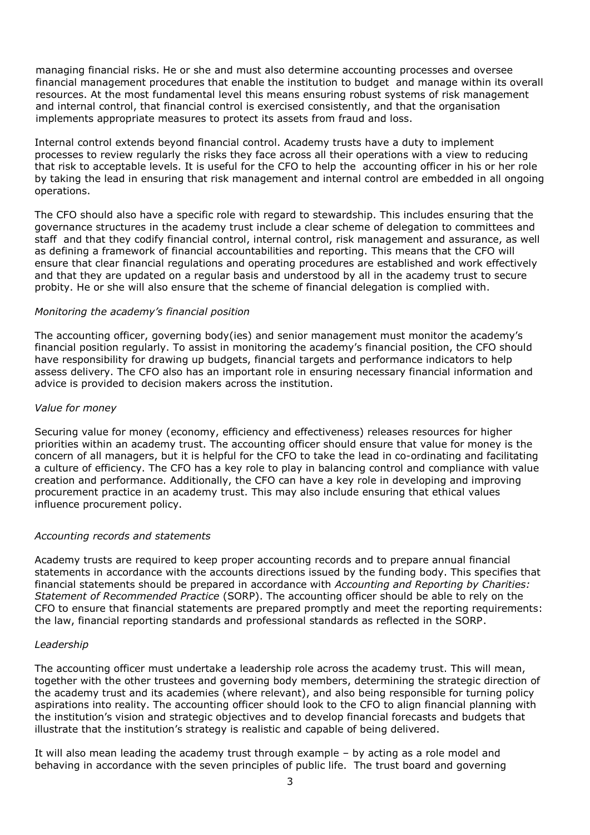managing financial risks. He or she and must also determine accounting processes and oversee financial management procedures that enable the institution to budget and manage within its overall resources. At the most fundamental level this means ensuring robust systems of risk management and internal control, that financial control is exercised consistently, and that the organisation implements appropriate measures to protect its assets from fraud and loss.

Internal control extends beyond financial control. Academy trusts have a duty to implement processes to review regularly the risks they face across all their operations with a view to reducing that risk to acceptable levels. It is useful for the CFO to help the accounting officer in his or her role by taking the lead in ensuring that risk management and internal control are embedded in all ongoing operations.

The CFO should also have a specific role with regard to stewardship. This includes ensuring that the governance structures in the academy trust include a clear scheme of delegation to committees and staff and that they codify financial control, internal control, risk management and assurance, as well as defining a framework of financial accountabilities and reporting. This means that the CFO will ensure that clear financial regulations and operating procedures are established and work effectively and that they are updated on a regular basis and understood by all in the academy trust to secure probity. He or she will also ensure that the scheme of financial delegation is complied with.

#### *Monitoring the academy's financial position*

The accounting officer, governing body(ies) and senior management must monitor the academy's financial position regularly. To assist in monitoring the academy's financial position, the CFO should have responsibility for drawing up budgets, financial targets and performance indicators to help assess delivery. The CFO also has an important role in ensuring necessary financial information and advice is provided to decision makers across the institution.

#### *Value for money*

Securing value for money (economy, efficiency and effectiveness) releases resources for higher priorities within an academy trust. The accounting officer should ensure that value for money is the concern of all managers, but it is helpful for the CFO to take the lead in co-ordinating and facilitating a culture of efficiency. The CFO has a key role to play in balancing control and compliance with value creation and performance. Additionally, the CFO can have a key role in developing and improving procurement practice in an academy trust. This may also include ensuring that ethical values influence procurement policy.

#### *Accounting records and statements*

Academy trusts are required to keep proper accounting records and to prepare annual financial statements in accordance with the accounts directions issued by the funding body. This specifies that financial statements should be prepared in accordance with *Accounting and Reporting by Charities: Statement of Recommended Practice* (SORP). The accounting officer should be able to rely on the CFO to ensure that financial statements are prepared promptly and meet the reporting requirements: the law, financial reporting standards and professional standards as reflected in the SORP.

#### *Leadership*

The accounting officer must undertake a leadership role across the academy trust. This will mean, together with the other trustees and governing body members, determining the strategic direction of the academy trust and its academies (where relevant), and also being responsible for turning policy aspirations into reality. The accounting officer should look to the CFO to align financial planning with the institution's vision and strategic objectives and to develop financial forecasts and budgets that illustrate that the institution's strategy is realistic and capable of being delivered.

It will also mean leading the academy trust through example – by acting as a role model and behaving in accordance with the seven principles of public life. The trust board and governing